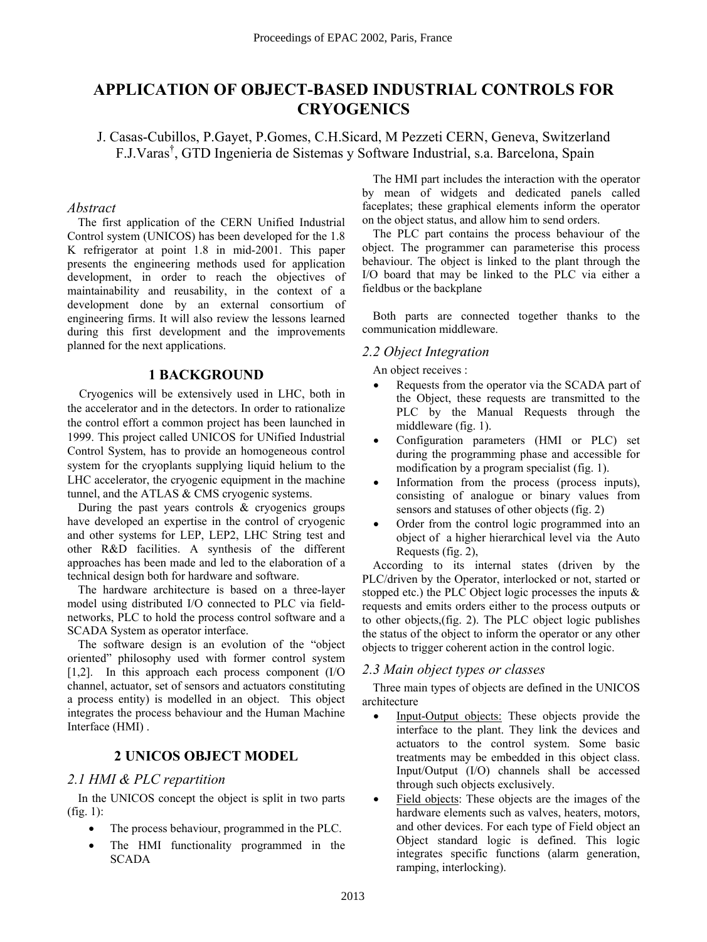# **APPLICATION OF OBJECT-BASED INDUSTRIAL CONTROLS FOR CRYOGENICS**

J. Casas-Cubillos, P.Gayet, P.Gomes, C.H.Sicard, M Pezzeti CERN, Geneva, Switzerland F.J.Varas<sup>†</sup>, GTD Ingenieria de Sistemas y Software Industrial, s.a. Barcelona, Spain

#### *Abstract*

The first application of the CERN Unified Industrial Control system (UNICOS) has been developed for the 1.8 K refrigerator at point 1.8 in mid-2001. This paper presents the engineering methods used for application development, in order to reach the objectives of maintainability and reusability, in the context of a development done by an external consortium of engineering firms. It will also review the lessons learned during this first development and the improvements planned for the next applications.

#### **1 BACKGROUND**

Cryogenics will be extensively used in LHC, both in the accelerator and in the detectors. In order to rationalize the control effort a common project has been launched in 1999. This project called UNICOS for UNified Industrial Control System, has to provide an homogeneous control system for the cryoplants supplying liquid helium to the LHC accelerator, the cryogenic equipment in the machine tunnel, and the ATLAS & CMS cryogenic systems.

During the past years controls  $\&$  cryogenics groups have developed an expertise in the control of cryogenic and other systems for LEP, LEP2, LHC String test and other R&D facilities. A synthesis of the different approaches has been made and led to the elaboration of a technical design both for hardware and software.

The hardware architecture is based on a three-layer model using distributed I/O connected to PLC via fieldnetworks, PLC to hold the process control software and a SCADA System as operator interface.

The software design is an evolution of the "object" oriented" philosophy used with former control system [1,2]. In this approach each process component (I/O channel, actuator, set of sensors and actuators constituting a process entity) is modelled in an object. This object integrates the process behaviour and the Human Machine Interface (HMI) .

#### **2 UNICOS OBJECT MODEL**

#### *2.1 HMI & PLC repartition*

In the UNICOS concept the object is split in two parts (fig. 1):

- The process behaviour, programmed in the PLC.
- The HMI functionality programmed in the SCADA

The HMI part includes the interaction with the operator by mean of widgets and dedicated panels called faceplates; these graphical elements inform the operator on the object status, and allow him to send orders.

The PLC part contains the process behaviour of the object. The programmer can parameterise this process behaviour. The object is linked to the plant through the I/O board that may be linked to the PLC via either a fieldbus or the backplane

Both parts are connected together thanks to the communication middleware.

#### *2.2 Object Integration*

An object receives :

- Requests from the operator via the SCADA part of the Object, these requests are transmitted to the PLC by the Manual Requests through the middleware (fig. 1).
- Configuration parameters (HMI or PLC) set during the programming phase and accessible for modification by a program specialist (fig. 1).
- Information from the process (process inputs), consisting of analogue or binary values from sensors and statuses of other objects (fig. 2)
- Order from the control logic programmed into an object of a higher hierarchical level via the Auto Requests (fig. 2),

According to its internal states (driven by the PLC/driven by the Operator, interlocked or not, started or stopped etc.) the PLC Object logic processes the inputs  $\&$ requests and emits orders either to the process outputs or to other objects,(fig. 2). The PLC object logic publishes the status of the object to inform the operator or any other objects to trigger coherent action in the control logic.

#### *2.3 Main object types or classes*

Three main types of objects are defined in the UNICOS architecture

- Input-Output objects: These objects provide the interface to the plant. They link the devices and actuators to the control system. Some basic treatments may be embedded in this object class. Input/Output (I/O) channels shall be accessed through such objects exclusively.
- Field objects: These objects are the images of the hardware elements such as valves, heaters, motors, and other devices. For each type of Field object an Object standard logic is defined. This logic integrates specific functions (alarm generation, ramping, interlocking).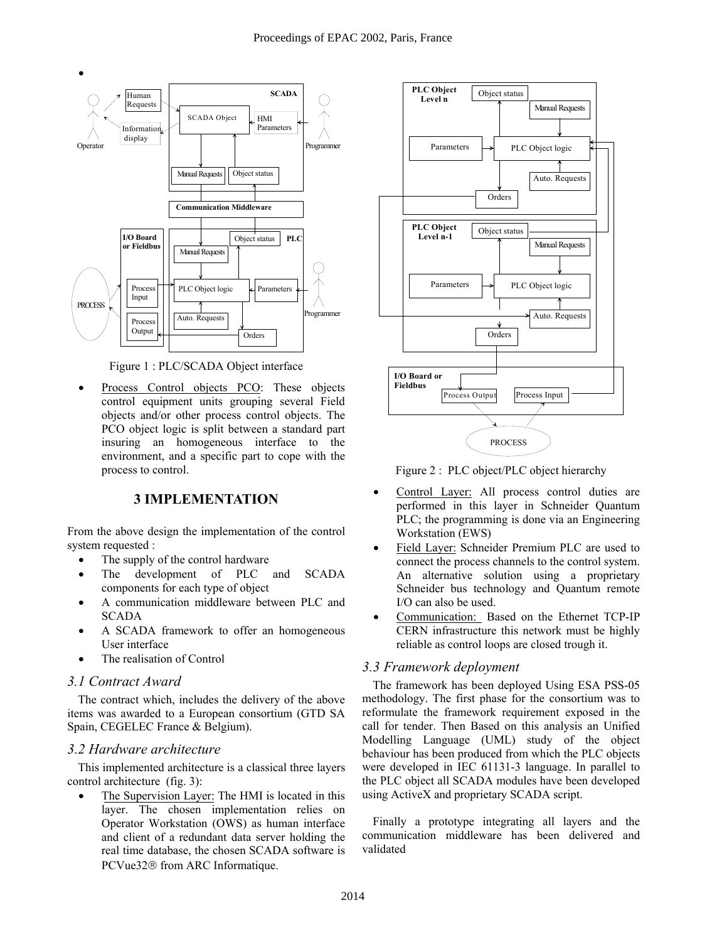

Figure 1 : PLC/SCADA Object interface

• Process Control objects PCO: These objects control equipment units grouping several Field objects and/or other process control objects. The PCO object logic is split between a standard part insuring an homogeneous interface to the environment, and a specific part to cope with the process to control.

#### **3 IMPLEMENTATION**

From the above design the implementation of the control system requested :

- The supply of the control hardware
- The development of PLC and SCADA components for each type of object
- A communication middleware between PLC and SCADA
- A SCADA framework to offer an homogeneous User interface
- The realisation of Control

#### *3.1 Contract Award*

The contract which, includes the delivery of the above items was awarded to a European consortium (GTD SA Spain, CEGELEC France & Belgium).

#### *3.2 Hardware architecture*

This implemented architecture is a classical three layers control architecture (fig. 3):

The Supervision Layer: The HMI is located in this layer. The chosen implementation relies on Operator Workstation (OWS) as human interface and client of a redundant data server holding the real time database, the chosen SCADA software is PCVue32<sup>®</sup> from ARC Informatique.



Figure 2 : PLC object/PLC object hierarchy

- Control Layer: All process control duties are performed in this layer in Schneider Quantum PLC; the programming is done via an Engineering Workstation (EWS)
- Field Layer: Schneider Premium PLC are used to connect the process channels to the control system. An alternative solution using a proprietary Schneider bus technology and Quantum remote I/O can also be used.
- Communication: Based on the Ethernet TCP-IP CERN infrastructure this network must be highly reliable as control loops are closed trough it.

#### *3.3 Framework deployment*

The framework has been deployed Using ESA PSS-05 methodology. The first phase for the consortium was to reformulate the framework requirement exposed in the call for tender. Then Based on this analysis an Unified Modelling Language (UML) study of the object behaviour has been produced from which the PLC objects were developed in IEC 61131-3 language. In parallel to the PLC object all SCADA modules have been developed using ActiveX and proprietary SCADA script.

Finally a prototype integrating all layers and the communication middleware has been delivered and validated